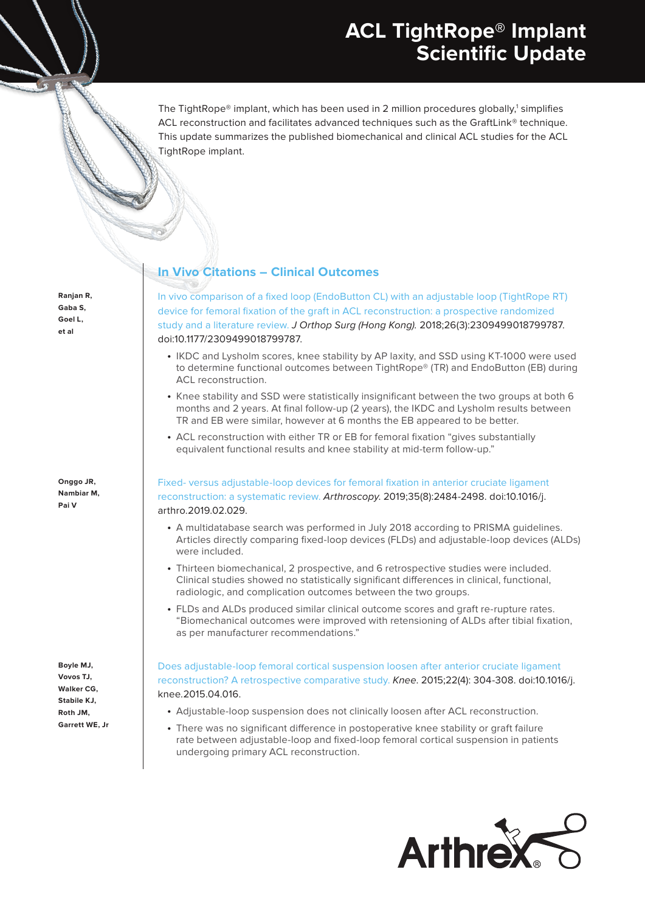# **ACL TightRope® Implant Scientific Update**

The TightRope® implant, which has been used in 2 million procedures globally, $^1$  simplifies ACL reconstruction and facilitates advanced techniques such as the GraftLink® technique. This update summarizes the published biomechanical and clinical ACL studies for the ACL TightRope implant.

**Ranjan R, Gaba S, Goel L, et al**

**Onggo JR, Nambiar M, Pai V**

**Boyle MJ, Vovos TJ, Walker CG, Stabile KJ, Roth JM, Garrett WE, Jr**

## **In Vivo Citations – Clinical Outcomes**

In vivo comparison of a fixed loop (EndoButton CL) with an adjustable loop (TightRope RT) device for femoral fixation of the graft in ACL reconstruction: a prospective randomized study and a literature review. J Orthop Surg (Hong Kong). 2018;26(3):2309499018799787. doi:10.1177/2309499018799787.

- IKDC and Lysholm scores, knee stability by AP laxity, and SSD using KT-1000 were used to determine functional outcomes between TightRope® (TR) and EndoButton (EB) during ACL reconstruction.
- Knee stability and SSD were statistically insignificant between the two groups at both 6 months and 2 years. At final follow-up (2 years), the IKDC and Lysholm results between TR and EB were similar, however at 6 months the EB appeared to be better.
- ACL reconstruction with either TR or EB for femoral fixation "gives substantially equivalent functional results and knee stability at mid-term follow-up."

Fixed- versus adjustable-loop devices for femoral fixation in anterior cruciate ligament reconstruction: a systematic review. Arthroscopy. 2019;35(8):2484-2498. doi:10.1016/j. arthro.2019.02.029.

- A multidatabase search was performed in July 2018 according to PRISMA guidelines. Articles directly comparing fixed-loop devices (FLDs) and adjustable-loop devices (ALDs) were included.
- Thirteen biomechanical, 2 prospective, and 6 retrospective studies were included. Clinical studies showed no statistically significant differences in clinical, functional, radiologic, and complication outcomes between the two groups.
- FLDs and ALDs produced similar clinical outcome scores and graft re-rupture rates. "Biomechanical outcomes were improved with retensioning of ALDs after tibial fixation, as per manufacturer recommendations."

Does adjustable-loop femoral cortical suspension loosen after anterior cruciate ligament reconstruction? A retrospective comparative study. Knee. 2015;22(4): 304-308. doi:10.1016/j. knee.2015.04.016.

- Adjustable-loop suspension does not clinically loosen after ACL reconstruction.
- There was no significant difference in postoperative knee stability or graft failure rate between adjustable-loop and fixed-loop femoral cortical suspension in patients undergoing primary ACL reconstruction.

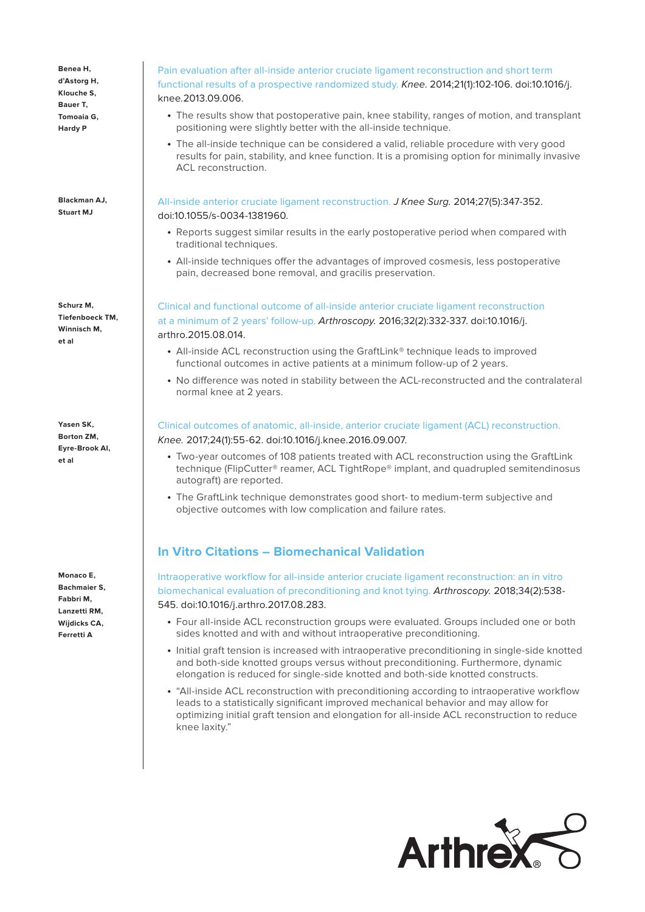**Benea H, d'Astorg H, Klouche S, Bauer T, Tomoaia G, Hardy P**

**Blackman AJ, Stuart MJ** 

**Schurz M, Tiefenboeck TM, Winnisch M, et al**

**Yasen SK, Borton ZM, Eyre-Brook AI, et al**

**Monaco E, Bachmaier S, Fabbri M, Lanzetti RM, Wijdicks CA, Ferretti A**

## Pain evaluation after all-inside anterior cruciate ligament reconstruction and short term functional results of a prospective randomized study. Knee. 2014;21(1):102-106. doi:10.1016/j. knee.2013.09.006.

- The results show that postoperative pain, knee stability, ranges of motion, and transplant positioning were slightly better with the all-inside technique.
- The all-inside technique can be considered a valid, reliable procedure with very good results for pain, stability, and knee function. It is a promising option for minimally invasive ACL reconstruction.

All-inside anterior cruciate ligament reconstruction. J Knee Surg. 2014;27(5):347-352. doi:10.1055/s-0034-1381960.

- Reports suggest similar results in the early postoperative period when compared with traditional techniques.
- All-inside techniques offer the advantages of improved cosmesis, less postoperative pain, decreased bone removal, and gracilis preservation.

Clinical and functional outcome of all-inside anterior cruciate ligament reconstruction at a minimum of 2 years' follow-up. Arthroscopy. 2016;32(2):332-337. doi:10.1016/j. arthro.2015.08.014.

- All-inside ACL reconstruction using the GraftLink® technique leads to improved functional outcomes in active patients at a minimum follow-up of 2 years.
- No difference was noted in stability between the ACL-reconstructed and the contralateral normal knee at 2 years.

## Clinical outcomes of anatomic, all-inside, anterior cruciate ligament (ACL) reconstruction. Knee. 2017;24(1):55-62. doi:10.1016/j.knee.2016.09.007.

- Two-year outcomes of 108 patients treated with ACL reconstruction using the GraftLink technique (FlipCutter® reamer, ACL TightRope® implant, and quadrupled semitendinosus autograft) are reported.
- The GraftLink technique demonstrates good short- to medium-term subjective and objective outcomes with low complication and failure rates.

## **In Vitro Citations – Biomechanical Validation**

Intraoperative workflow for all-inside anterior cruciate ligament reconstruction: an in vitro biomechanical evaluation of preconditioning and knot tying. Arthroscopy. 2018;34(2):538- 545. doi:10.1016/j.arthro.2017.08.283.

- Four all-inside ACL reconstruction groups were evaluated. Groups included one or both sides knotted and with and without intraoperative preconditioning.
- Initial graft tension is increased with intraoperative preconditioning in single-side knotted and both-side knotted groups versus without preconditioning. Furthermore, dynamic elongation is reduced for single-side knotted and both-side knotted constructs.
- "All-inside ACL reconstruction with preconditioning according to intraoperative workflow leads to a statistically significant improved mechanical behavior and may allow for optimizing initial graft tension and elongation for all-inside ACL reconstruction to reduce knee laxity."

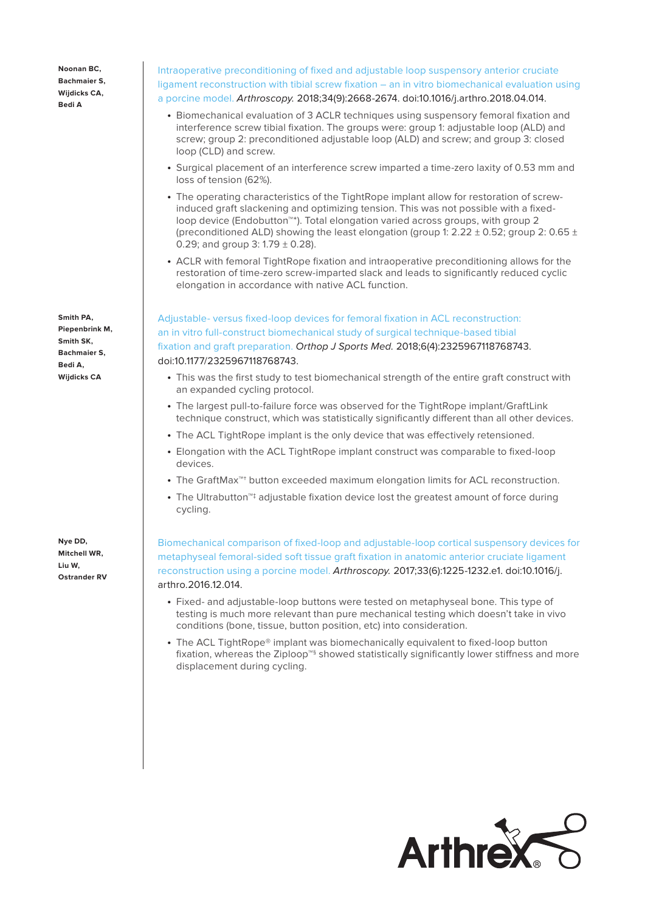**Noonan BC, Bachmaier S, Wijdicks CA, Bedi A** 

**Smith PA, Piepenbrink M, Smith SK, Bachmaier S, Bedi A, Wijdicks CA**

**Nye DD, Mitchell WR, Liu W, Ostrander RV**

## Intraoperative preconditioning of fixed and adjustable loop suspensory anterior cruciate ligament reconstruction with tibial screw fixation – an in vitro biomechanical evaluation using a porcine model. Arthroscopy. 2018;34(9):2668-2674. doi:10.1016/j.arthro.2018.04.014.

- Biomechanical evaluation of 3 ACLR techniques using suspensory femoral fixation and interference screw tibial fixation. The groups were: group 1: adjustable loop (ALD) and screw; group 2: preconditioned adjustable loop (ALD) and screw; and group 3: closed loop (CLD) and screw.
- Surgical placement of an interference screw imparted a time-zero laxity of 0.53 mm and loss of tension (62%).
- The operating characteristics of the TightRope implant allow for restoration of screwinduced graft slackening and optimizing tension. This was not possible with a fixedloop device (Endobutton™\*). Total elongation varied across groups, with group 2 (preconditioned ALD) showing the least elongation (group 1:  $2.22 \pm 0.52$ ; group 2:  $0.65 \pm 0.52$ 0.29; and group 3:  $1.79 \pm 0.28$ ).
- ACLR with femoral TightRope fixation and intraoperative preconditioning allows for the restoration of time-zero screw-imparted slack and leads to significantly reduced cyclic elongation in accordance with native ACL function.

Adjustable- versus fixed-loop devices for femoral fixation in ACL reconstruction: an in vitro full-construct biomechanical study of surgical technique-based tibial fixation and graft preparation. Orthop J Sports Med. 2018;6(4):2325967118768743. doi:10.1177/2325967118768743.

- This was the first study to test biomechanical strength of the entire graft construct with an expanded cycling protocol.
- The largest pull-to-failure force was observed for the TightRope implant/GraftLink technique construct, which was statistically significantly different than all other devices.
- The ACL TightRope implant is the only device that was effectively retensioned.
- Elongation with the ACL TightRope implant construct was comparable to fixed-loop devices.
- The GraftMax™† button exceeded maximum elongation limits for ACL reconstruction.
- The Ultrabutton™‡ adjustable fixation device lost the greatest amount of force during cycling.

Biomechanical comparison of fixed-loop and adjustable-loop cortical suspensory devices for metaphyseal femoral-sided soft tissue graft fixation in anatomic anterior cruciate ligament reconstruction using a porcine model. Arthroscopy. 2017;33(6):1225-1232.e1. doi:10.1016/j. arthro.2016.12.014.

- Fixed- and adjustable-loop buttons were tested on metaphyseal bone. This type of testing is much more relevant than pure mechanical testing which doesn't take in vivo conditions (bone, tissue, button position, etc) into consideration.
- The ACL TightRope® implant was biomechanically equivalent to fixed-loop button fixation, whereas the Ziploop™§ showed statistically significantly lower stiffness and more displacement during cycling.

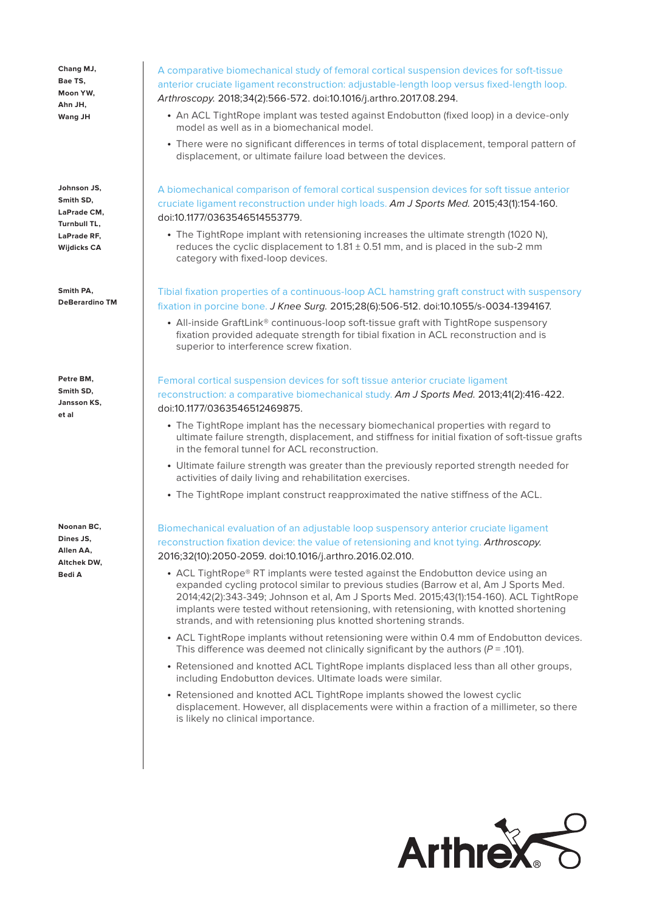**Chang MJ, Bae TS, Moon YW, Ahn JH, Wang JH**

**Johnson JS, Smith SD, LaPrade CM, Turnbull TL, LaPrade RF, Wijdicks CA**

**Smith PA, DeBerardino TM**

**Petre BM, Smith SD, Jansson KS, et al**

**Noonan BC, Dines JS, Allen AA, Altchek DW, Bedi A**

A comparative biomechanical study of femoral cortical suspension devices for soft-tissue anterior cruciate ligament reconstruction: adjustable-length loop versus fixed-length loop. Arthroscopy. 2018;34(2):566-572. doi:10.1016/j.arthro.2017.08.294.

- An ACL TightRope implant was tested against Endobutton (fixed loop) in a device-only model as well as in a biomechanical model.
- There were no significant differences in terms of total displacement, temporal pattern of displacement, or ultimate failure load between the devices.

A biomechanical comparison of femoral cortical suspension devices for soft tissue anterior cruciate ligament reconstruction under high loads. Am J Sports Med. 2015;43(1):154-160. doi:10.1177/0363546514553779.

• The TightRope implant with retensioning increases the ultimate strength (1020 N). reduces the cyclic displacement to  $1.81 \pm 0.51$  mm, and is placed in the sub-2 mm category with fixed-loop devices.

Tibial fixation properties of a continuous-loop ACL hamstring graft construct with suspensory fixation in porcine bone. J Knee Surg. 2015;28(6):506-512. doi:10.1055/s-0034-1394167.

• All-inside GraftLink® continuous-loop soft-tissue graft with TightRope suspensory fixation provided adequate strength for tibial fixation in ACL reconstruction and is superior to interference screw fixation.

## Femoral cortical suspension devices for soft tissue anterior cruciate ligament reconstruction: a comparative biomechanical study. Am J Sports Med. 2013;41(2):416-422. doi:10.1177/0363546512469875.

- The TightRope implant has the necessary biomechanical properties with regard to ultimate failure strength, displacement, and stiffness for initial fixation of soft-tissue grafts in the femoral tunnel for ACL reconstruction.
- Ultimate failure strength was greater than the previously reported strength needed for activities of daily living and rehabilitation exercises.
- The TightRope implant construct reapproximated the native stiffness of the ACL.

Biomechanical evaluation of an adjustable loop suspensory anterior cruciate ligament reconstruction fixation device: the value of retensioning and knot tying. Arthroscopy. 2016;32(10):2050-2059. doi:10.1016/j.arthro.2016.02.010.

- ACL TightRope® RT implants were tested against the Endobutton device using an expanded cycling protocol similar to previous studies (Barrow et al, Am J Sports Med. 2014;42(2):343-349; Johnson et al, Am J Sports Med. 2015;43(1):154-160). ACL TightRope implants were tested without retensioning, with retensioning, with knotted shortening strands, and with retensioning plus knotted shortening strands.
- ACL TightRope implants without retensioning were within 0.4 mm of Endobutton devices. This difference was deemed not clinically significant by the authors ( $P = .101$ ).
- Retensioned and knotted ACL TightRope implants displaced less than all other groups, including Endobutton devices. Ultimate loads were similar.
- Retensioned and knotted ACL TightRope implants showed the lowest cyclic displacement. However, all displacements were within a fraction of a millimeter, so there is likely no clinical importance.

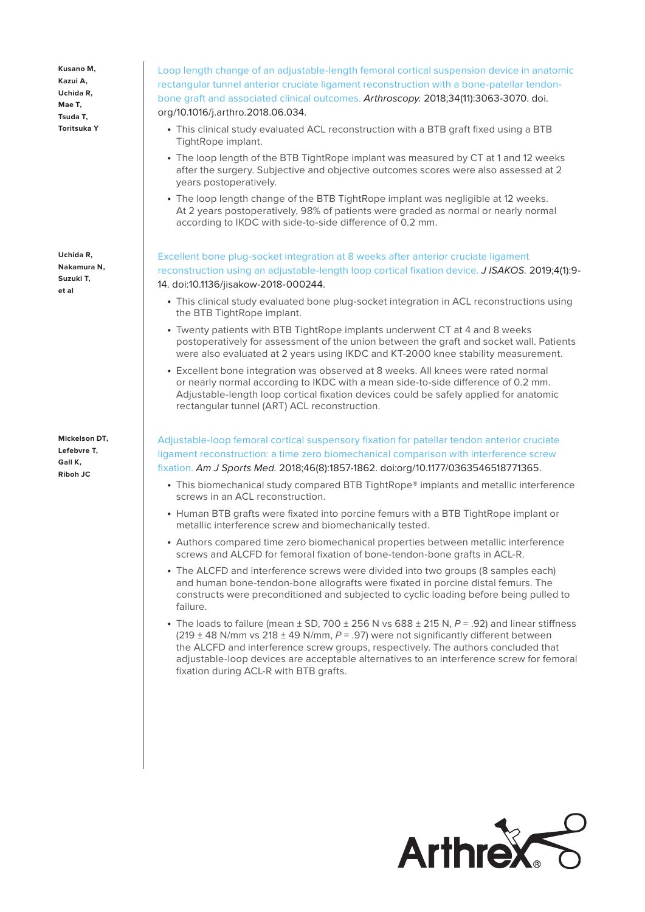**Kusano M, Kazui A, Uchida R, Mae T, Tsuda T, Toritsuka Y**

**Uchida R, Nakamura N, Suzuki T, et al**

**Mickelson DT, Lefebvre T, Gall K, Riboh JC**

Loop length change of an adjustable-length femoral cortical suspension device in anatomic rectangular tunnel anterior cruciate ligament reconstruction with a bone-patellar tendonbone graft and associated clinical outcomes. Arthroscopy. 2018;34(11):3063-3070. doi. org/10.1016/j.arthro.2018.06.034.

- This clinical study evaluated ACL reconstruction with a BTB graft fixed using a BTB TightRope implant.
- The loop length of the BTB TightRope implant was measured by CT at 1 and 12 weeks after the surgery. Subjective and objective outcomes scores were also assessed at 2 years postoperatively.
- The loop length change of the BTB TightRope implant was negligible at 12 weeks. At 2 years postoperatively, 98% of patients were graded as normal or nearly normal according to IKDC with side-to-side difference of 0.2 mm.

Excellent bone plug-socket integration at 8 weeks after anterior cruciate ligament reconstruction using an adjustable-length loop cortical fixation device. J ISAKOS. 2019;4(1):9- 14. doi:10.1136/jisakow-2018-000244.

- This clinical study evaluated bone plug-socket integration in ACL reconstructions using the BTB TightRope implant.
- Twenty patients with BTB TightRope implants underwent CT at 4 and 8 weeks postoperatively for assessment of the union between the graft and socket wall. Patients were also evaluated at 2 years using IKDC and KT-2000 knee stability measurement.
- Excellent bone integration was observed at 8 weeks. All knees were rated normal or nearly normal according to IKDC with a mean side-to-side difference of 0.2 mm. Adjustable-length loop cortical fixation devices could be safely applied for anatomic rectangular tunnel (ART) ACL reconstruction.

Adjustable-loop femoral cortical suspensory fixation for patellar tendon anterior cruciate ligament reconstruction: a time zero biomechanical comparison with interference screw fixation. Am J Sports Med. 2018;46(8):1857-1862. doi:org/10.1177/0363546518771365.

- This biomechanical study compared BTB TightRope® implants and metallic interference screws in an ACL reconstruction.
- Human BTB grafts were fixated into porcine femurs with a BTB TightRope implant or metallic interference screw and biomechanically tested.
- Authors compared time zero biomechanical properties between metallic interference screws and ALCFD for femoral fixation of bone-tendon-bone grafts in ACL-R.
- The ALCFD and interference screws were divided into two groups (8 samples each) and human bone-tendon-bone allografts were fixated in porcine distal femurs. The constructs were preconditioned and subjected to cyclic loading before being pulled to failure.
- The loads to failure (mean  $\pm$  SD, 700  $\pm$  256 N vs 688  $\pm$  215 N, P = .92) and linear stiffness  $(219 \pm 48$  N/mm vs  $218 \pm 49$  N/mm,  $P = .97$ ) were not significantly different between the ALCFD and interference screw groups, respectively. The authors concluded that adjustable-loop devices are acceptable alternatives to an interference screw for femoral fixation during ACL-R with BTB grafts.